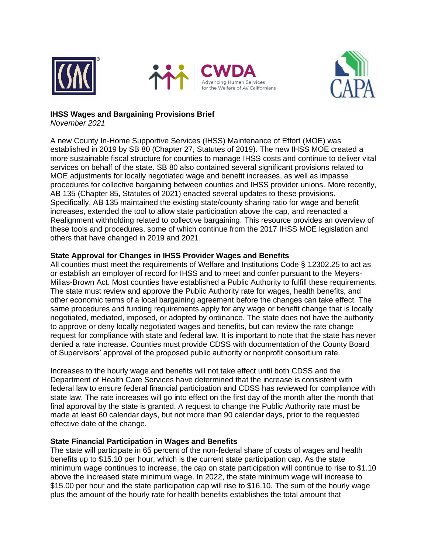





# **IHSS Wages and Bargaining Provisions Brief**

*November 2021*

A new County In-Home Supportive Services (IHSS) Maintenance of Effort (MOE) was established in 2019 by SB 80 (Chapter 27, Statutes of 2019). The new IHSS MOE created a more sustainable fiscal structure for counties to manage IHSS costs and continue to deliver vital services on behalf of the state. SB 80 also contained several significant provisions related to MOE adjustments for locally negotiated wage and benefit increases, as well as impasse procedures for collective bargaining between counties and IHSS provider unions. More recently, AB 135 (Chapter 85, Statutes of 2021) enacted several updates to these provisions. Specifically, AB 135 maintained the existing state/county sharing ratio for wage and benefit increases, extended the tool to allow state participation above the cap, and reenacted a Realignment withholding related to collective bargaining. This resource provides an overview of these tools and procedures, some of which continue from the 2017 IHSS MOE legislation and others that have changed in 2019 and 2021.

# **State Approval for Changes in IHSS Provider Wages and Benefits**

All counties must meet the requirements of Welfare and Institutions Code § 12302.25 to act as or establish an employer of record for IHSS and to meet and confer pursuant to the Meyers-Milias-Brown Act. Most counties have established a Public Authority to fulfill these requirements. The state must review and approve the Public Authority rate for wages, health benefits, and other economic terms of a local bargaining agreement before the changes can take effect. The same procedures and funding requirements apply for any wage or benefit change that is locally negotiated, mediated, imposed, or adopted by ordinance. The state does not have the authority to approve or deny locally negotiated wages and benefits, but can review the rate change request for compliance with state and federal law. It is important to note that the state has never denied a rate increase. Counties must provide CDSS with documentation of the County Board of Supervisors' approval of the proposed public authority or nonprofit consortium rate.

Increases to the hourly wage and benefits will not take effect until both CDSS and the Department of Health Care Services have determined that the increase is consistent with federal law to ensure federal financial participation and CDSS has reviewed for compliance with state law. The rate increases will go into effect on the first day of the month after the month that final approval by the state is granted. A request to change the Public Authority rate must be made at least 60 calendar days, but not more than 90 calendar days, prior to the requested effective date of the change.

# **State Financial Participation in Wages and Benefits**

The state will participate in 65 percent of the non-federal share of costs of wages and health benefits up to \$15.10 per hour, which is the current state participation cap. As the state minimum wage continues to increase, the cap on state participation will continue to rise to \$1.10 above the increased state minimum wage. In 2022, the state minimum wage will increase to \$15.00 per hour and the state participation cap will rise to \$16.10. The sum of the hourly wage plus the amount of the hourly rate for health benefits establishes the total amount that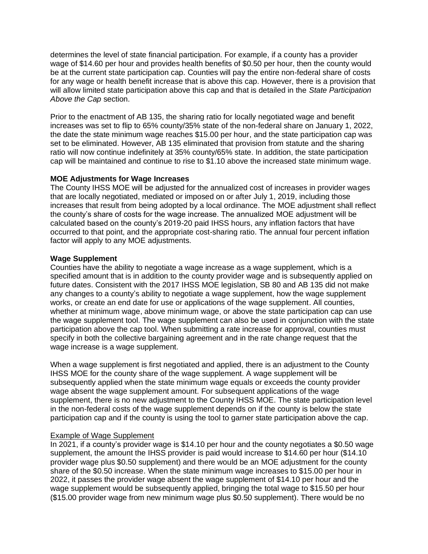determines the level of state financial participation. For example, if a county has a provider wage of \$14.60 per hour and provides health benefits of \$0.50 per hour, then the county would be at the current state participation cap. Counties will pay the entire non-federal share of costs for any wage or health benefit increase that is above this cap. However, there is a provision that will allow limited state participation above this cap and that is detailed in the *State Participation Above the Cap* section.

Prior to the enactment of AB 135, the sharing ratio for locally negotiated wage and benefit increases was set to flip to 65% county/35% state of the non-federal share on January 1, 2022, the date the state minimum wage reaches \$15.00 per hour, and the state participation cap was set to be eliminated. However, AB 135 eliminated that provision from statute and the sharing ratio will now continue indefinitely at 35% county/65% state. In addition, the state participation cap will be maintained and continue to rise to \$1.10 above the increased state minimum wage.

## **MOE Adjustments for Wage Increases**

The County IHSS MOE will be adjusted for the annualized cost of increases in provider wages that are locally negotiated, mediated or imposed on or after July 1, 2019, including those increases that result from being adopted by a local ordinance. The MOE adjustment shall reflect the county's share of costs for the wage increase. The annualized MOE adjustment will be calculated based on the county's 2019-20 paid IHSS hours, any inflation factors that have occurred to that point, and the appropriate cost-sharing ratio. The annual four percent inflation factor will apply to any MOE adjustments.

## **Wage Supplement**

Counties have the ability to negotiate a wage increase as a wage supplement, which is a specified amount that is in addition to the county provider wage and is subsequently applied on future dates. Consistent with the 2017 IHSS MOE legislation, SB 80 and AB 135 did not make any changes to a county's ability to negotiate a wage supplement, how the wage supplement works, or create an end date for use or applications of the wage supplement. All counties, whether at minimum wage, above minimum wage, or above the state participation cap can use the wage supplement tool. The wage supplement can also be used in conjunction with the state participation above the cap tool. When submitting a rate increase for approval, counties must specify in both the collective bargaining agreement and in the rate change request that the wage increase is a wage supplement.

When a wage supplement is first negotiated and applied, there is an adjustment to the County IHSS MOE for the county share of the wage supplement. A wage supplement will be subsequently applied when the state minimum wage equals or exceeds the county provider wage absent the wage supplement amount. For subsequent applications of the wage supplement, there is no new adjustment to the County IHSS MOE. The state participation level in the non-federal costs of the wage supplement depends on if the county is below the state participation cap and if the county is using the tool to garner state participation above the cap.

# Example of Wage Supplement

In 2021, if a county's provider wage is \$14.10 per hour and the county negotiates a \$0.50 wage supplement, the amount the IHSS provider is paid would increase to \$14.60 per hour (\$14.10 provider wage plus \$0.50 supplement) and there would be an MOE adjustment for the county share of the \$0.50 increase. When the state minimum wage increases to \$15.00 per hour in 2022, it passes the provider wage absent the wage supplement of \$14.10 per hour and the wage supplement would be subsequently applied, bringing the total wage to \$15.50 per hour (\$15.00 provider wage from new minimum wage plus \$0.50 supplement). There would be no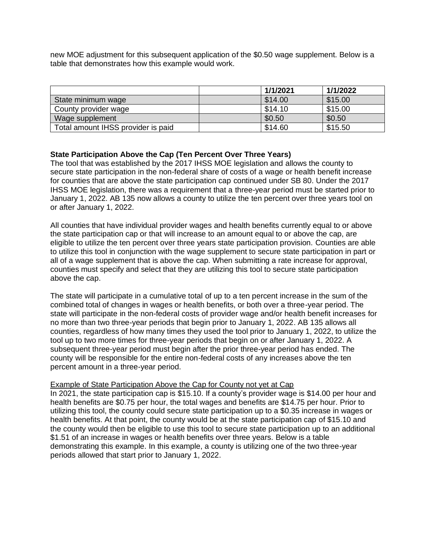new MOE adjustment for this subsequent application of the \$0.50 wage supplement. Below is a table that demonstrates how this example would work.

|                                    | 1/1/2021 | 1/1/2022 |
|------------------------------------|----------|----------|
| State minimum wage                 | \$14.00  | \$15.00  |
| County provider wage               | \$14.10  | \$15.00  |
| Wage supplement                    | \$0.50   | \$0.50   |
| Total amount IHSS provider is paid | \$14.60  | \$15.50  |

## **State Participation Above the Cap (Ten Percent Over Three Years)**

The tool that was established by the 2017 IHSS MOE legislation and allows the county to secure state participation in the non-federal share of costs of a wage or health benefit increase for counties that are above the state participation cap continued under SB 80. Under the 2017 IHSS MOE legislation, there was a requirement that a three-year period must be started prior to January 1, 2022. AB 135 now allows a county to utilize the ten percent over three years tool on or after January 1, 2022.

All counties that have individual provider wages and health benefits currently equal to or above the state participation cap or that will increase to an amount equal to or above the cap, are eligible to utilize the ten percent over three years state participation provision. Counties are able to utilize this tool in conjunction with the wage supplement to secure state participation in part or all of a wage supplement that is above the cap. When submitting a rate increase for approval, counties must specify and select that they are utilizing this tool to secure state participation above the cap.

The state will participate in a cumulative total of up to a ten percent increase in the sum of the combined total of changes in wages or health benefits, or both over a three-year period. The state will participate in the non-federal costs of provider wage and/or health benefit increases for no more than two three-year periods that begin prior to January 1, 2022. AB 135 allows all counties, regardless of how many times they used the tool prior to January 1, 2022, to utilize the tool up to two more times for three-year periods that begin on or after January 1, 2022. A subsequent three-year period must begin after the prior three-year period has ended. The county will be responsible for the entire non-federal costs of any increases above the ten percent amount in a three-year period.

#### Example of State Participation Above the Cap for County not yet at Cap

In 2021, the state participation cap is \$15.10. If a county's provider wage is \$14.00 per hour and health benefits are \$0.75 per hour, the total wages and benefits are \$14.75 per hour. Prior to utilizing this tool, the county could secure state participation up to a \$0.35 increase in wages or health benefits. At that point, the county would be at the state participation cap of \$15.10 and the county would then be eligible to use this tool to secure state participation up to an additional \$1.51 of an increase in wages or health benefits over three years. Below is a table demonstrating this example. In this example, a county is utilizing one of the two three-year periods allowed that start prior to January 1, 2022.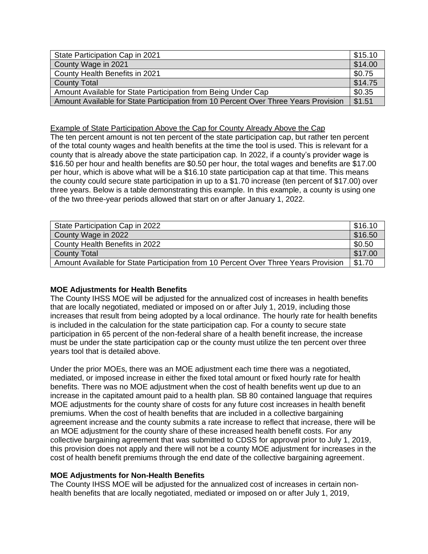| State Participation Cap in 2021                                                     | \$15.10               |
|-------------------------------------------------------------------------------------|-----------------------|
| County Wage in 2021                                                                 | \$14.00               |
| County Health Benefits in 2021                                                      | \$0.75                |
| <b>County Total</b>                                                                 | $\frac{1}{2}$ \$14.75 |
| Amount Available for State Participation from Being Under Cap                       |                       |
| Amount Available for State Participation from 10 Percent Over Three Years Provision | \$1.51                |

#### Example of State Participation Above the Cap for County Already Above the Cap

The ten percent amount is not ten percent of the state participation cap, but rather ten percent of the total county wages and health benefits at the time the tool is used. This is relevant for a county that is already above the state participation cap. In 2022, if a county's provider wage is \$16.50 per hour and health benefits are \$0.50 per hour, the total wages and benefits are \$17.00 per hour, which is above what will be a \$16.10 state participation cap at that time. This means the county could secure state participation in up to a \$1.70 increase (ten percent of \$17.00) over three years. Below is a table demonstrating this example. In this example, a county is using one of the two three-year periods allowed that start on or after January 1, 2022.

| State Participation Cap in 2022                                                     | \$16.10 |
|-------------------------------------------------------------------------------------|---------|
| County Wage in 2022                                                                 | \$16.50 |
| County Health Benefits in 2022                                                      | \$0.50  |
| County Total                                                                        | \$17.00 |
| Amount Available for State Participation from 10 Percent Over Three Years Provision | \$1.70  |

#### **MOE Adjustments for Health Benefits**

The County IHSS MOE will be adjusted for the annualized cost of increases in health benefits that are locally negotiated, mediated or imposed on or after July 1, 2019, including those increases that result from being adopted by a local ordinance. The hourly rate for health benefits is included in the calculation for the state participation cap. For a county to secure state participation in 65 percent of the non-federal share of a health benefit increase, the increase must be under the state participation cap or the county must utilize the ten percent over three years tool that is detailed above.

Under the prior MOEs, there was an MOE adjustment each time there was a negotiated, mediated, or imposed increase in either the fixed total amount or fixed hourly rate for health benefits. There was no MOE adjustment when the cost of health benefits went up due to an increase in the capitated amount paid to a health plan. SB 80 contained language that requires MOE adjustments for the county share of costs for any future cost increases in health benefit premiums. When the cost of health benefits that are included in a collective bargaining agreement increase and the county submits a rate increase to reflect that increase, there will be an MOE adjustment for the county share of these increased health benefit costs. For any collective bargaining agreement that was submitted to CDSS for approval prior to July 1, 2019, this provision does not apply and there will not be a county MOE adjustment for increases in the cost of health benefit premiums through the end date of the collective bargaining agreement.

#### **MOE Adjustments for Non-Health Benefits**

The County IHSS MOE will be adjusted for the annualized cost of increases in certain nonhealth benefits that are locally negotiated, mediated or imposed on or after July 1, 2019,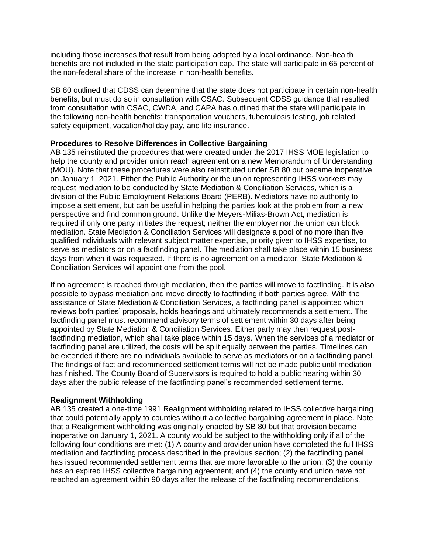including those increases that result from being adopted by a local ordinance. Non-health benefits are not included in the state participation cap. The state will participate in 65 percent of the non-federal share of the increase in non-health benefits.

SB 80 outlined that CDSS can determine that the state does not participate in certain non-health benefits, but must do so in consultation with CSAC. Subsequent CDSS guidance that resulted from consultation with CSAC, CWDA, and CAPA has outlined that the state will participate in the following non-health benefits: transportation vouchers, tuberculosis testing, job related safety equipment, vacation/holiday pay, and life insurance.

## **Procedures to Resolve Differences in Collective Bargaining**

AB 135 reinstituted the procedures that were created under the 2017 IHSS MOE legislation to help the county and provider union reach agreement on a new Memorandum of Understanding (MOU). Note that these procedures were also reinstituted under SB 80 but became inoperative on January 1, 2021. Either the Public Authority or the union representing IHSS workers may request mediation to be conducted by State Mediation & Conciliation Services, which is a division of the Public Employment Relations Board (PERB). Mediators have no authority to impose a settlement, but can be useful in helping the parties look at the problem from a new perspective and find common ground. Unlike the Meyers-Milias-Brown Act, mediation is required if only one party initiates the request; neither the employer nor the union can block mediation. State Mediation & Conciliation Services will designate a pool of no more than five qualified individuals with relevant subject matter expertise, priority given to IHSS expertise, to serve as mediators or on a factfinding panel. The mediation shall take place within 15 business days from when it was requested. If there is no agreement on a mediator, State Mediation & Conciliation Services will appoint one from the pool.

If no agreement is reached through mediation, then the parties will move to factfinding. It is also possible to bypass mediation and move directly to factfinding if both parties agree. With the assistance of State Mediation & Conciliation Services, a factfinding panel is appointed which reviews both parties' proposals, holds hearings and ultimately recommends a settlement. The factfinding panel must recommend advisory terms of settlement within 30 days after being appointed by State Mediation & Conciliation Services. Either party may then request postfactfinding mediation, which shall take place within 15 days. When the services of a mediator or factfinding panel are utilized, the costs will be split equally between the parties. Timelines can be extended if there are no individuals available to serve as mediators or on a factfinding panel. The findings of fact and recommended settlement terms will not be made public until mediation has finished. The County Board of Supervisors is required to hold a public hearing within 30 days after the public release of the factfinding panel's recommended settlement terms.

#### **Realignment Withholding**

AB 135 created a one-time 1991 Realignment withholding related to IHSS collective bargaining that could potentially apply to counties without a collective bargaining agreement in place. Note that a Realignment withholding was originally enacted by SB 80 but that provision became inoperative on January 1, 2021. A county would be subject to the withholding only if all of the following four conditions are met: (1) A county and provider union have completed the full IHSS mediation and factfinding process described in the previous section; (2) the factfinding panel has issued recommended settlement terms that are more favorable to the union; (3) the county has an expired IHSS collective bargaining agreement; and (4) the county and union have not reached an agreement within 90 days after the release of the factfinding recommendations.